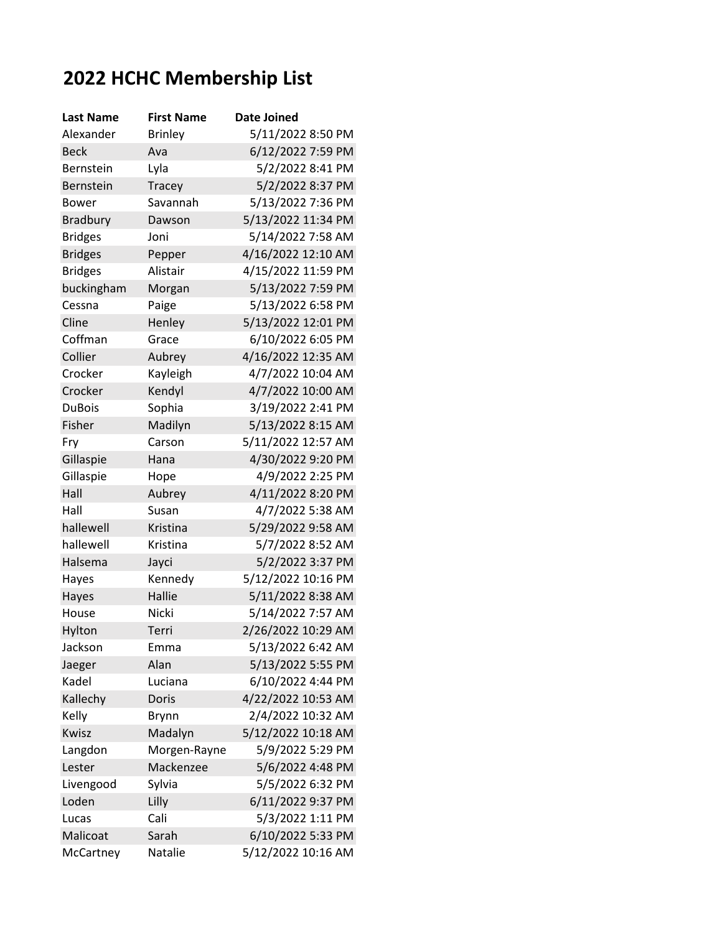## **2022 HCHC Membership List**

| <b>Last Name</b> | <b>First Name</b> | Date Joined        |
|------------------|-------------------|--------------------|
| Alexander        | <b>Brinley</b>    | 5/11/2022 8:50 PM  |
| <b>Beck</b>      | Ava               | 6/12/2022 7:59 PM  |
| Bernstein        | Lyla              | 5/2/2022 8:41 PM   |
| Bernstein        | <b>Tracey</b>     | 5/2/2022 8:37 PM   |
| Bower            | Savannah          | 5/13/2022 7:36 PM  |
| <b>Bradbury</b>  | Dawson            | 5/13/2022 11:34 PM |
| <b>Bridges</b>   | Joni              | 5/14/2022 7:58 AM  |
| <b>Bridges</b>   | Pepper            | 4/16/2022 12:10 AM |
| <b>Bridges</b>   | Alistair          | 4/15/2022 11:59 PM |
| buckingham       | Morgan            | 5/13/2022 7:59 PM  |
| Cessna           | Paige             | 5/13/2022 6:58 PM  |
| Cline            | Henley            | 5/13/2022 12:01 PM |
| Coffman          | Grace             | 6/10/2022 6:05 PM  |
| Collier          | Aubrey            | 4/16/2022 12:35 AM |
| Crocker          | Kayleigh          | 4/7/2022 10:04 AM  |
| Crocker          | Kendyl            | 4/7/2022 10:00 AM  |
| <b>DuBois</b>    | Sophia            | 3/19/2022 2:41 PM  |
| Fisher           | Madilyn           | 5/13/2022 8:15 AM  |
| Fry              | Carson            | 5/11/2022 12:57 AM |
| Gillaspie        | Hana              | 4/30/2022 9:20 PM  |
| Gillaspie        | Hope              | 4/9/2022 2:25 PM   |
| Hall             | Aubrey            | 4/11/2022 8:20 PM  |
| Hall             | Susan             | 4/7/2022 5:38 AM   |
| hallewell        | Kristina          | 5/29/2022 9:58 AM  |
| hallewell        | Kristina          | 5/7/2022 8:52 AM   |
| Halsema          | Jayci             | 5/2/2022 3:37 PM   |
| Hayes            | Kennedy           | 5/12/2022 10:16 PM |
| Hayes            | Hallie            | 5/11/2022 8:38 AM  |
| House            | <b>Nicki</b>      | 5/14/2022 7:57 AM  |
| Hylton           | Terri             | 2/26/2022 10:29 AM |
| Jackson          | Emma              | 5/13/2022 6:42 AM  |
| Jaeger           | Alan              | 5/13/2022 5:55 PM  |
| Kadel            | Luciana           | 6/10/2022 4:44 PM  |
| Kallechy         | Doris             | 4/22/2022 10:53 AM |
| Kelly            | Brynn             | 2/4/2022 10:32 AM  |
| Kwisz            | Madalyn           | 5/12/2022 10:18 AM |
| Langdon          | Morgen-Rayne      | 5/9/2022 5:29 PM   |
| Lester           | Mackenzee         | 5/6/2022 4:48 PM   |
| Livengood        | Sylvia            | 5/5/2022 6:32 PM   |
| Loden            | Lilly             | 6/11/2022 9:37 PM  |
| Lucas            | Cali              | 5/3/2022 1:11 PM   |
| Malicoat         | Sarah             | 6/10/2022 5:33 PM  |
| McCartney        | Natalie           | 5/12/2022 10:16 AM |